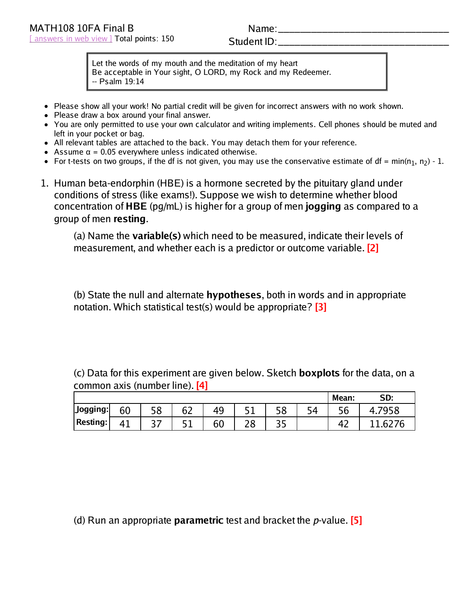## Name:

## Student ID:

Let the words of my mouth and the meditation of my heart Be acceptable in Your sight, O LORD, my Rock and my Redeemer. -- Psalm 19:14

- Please show all your work! No partial credit will be given for incorrect answers with no work shown.
- Please draw a box around your final answer.
- You are only permitted to use your own calculator and writing implements. Cell phones should be muted and left in your pocket or bag.
- All relevant tables are attached to the back. You may detach them for your reference.
- Assume  $\alpha$  = 0.05 everywhere unless indicated otherwise.
- For t-tests on two groups, if the df is not given, you may use the conservative estimate of df = min(n<sub>1</sub>, n<sub>2</sub>) 1.
- 1. Human beta-endorphin (HBE) is a hormone secreted by the pituitary gland under conditions of stress (like exams!). Suppose we wish to determine whether blood concentration of **HBE** (pg/mL) is higher for a group of men **jogging** as compared to a group of men **resting**.

(a) Name the **variable(s)** which need to be measured, indicate their levels of measurement, and whether each is a predictor or outcome variable. **[2]**

(b) State the null and alternate **hypotheses**, both in words and in appropriate notation. Which statistical test(s) would be appropriate? **[3]**

(c) Data for this experiment are given below. Sketch **boxplots** for the data, on a common axis (number line). **[4]**

|                 |    |            |                |    |     |          |         | Mean:            | SD: |
|-----------------|----|------------|----------------|----|-----|----------|---------|------------------|-----|
| $J$ ogging:     | 60 | г о<br>JU  | ~~<br>ı.<br>ັັ | 49 | - 1 | го<br>oc | ги<br>╯ | <u>- c</u><br>סכ |     |
| <b>Resting:</b> | 41 | ¬ ¬<br>J 1 | - 1            | 60 | 20  | ∽        |         |                  |     |

(d) Run an appropriate **parametric** test and bracket the p-value. **[5]**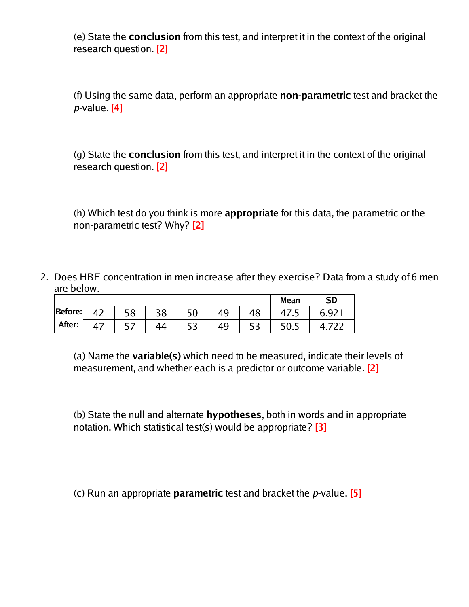(e) State the **conclusion** from this test, and interpret it in the context of the original research question. **[2]**

(f) Using the same data, perform an appropriate **non-parametric** test and bracket the p-value. **[4]**

(g) State the **conclusion** from this test, and interpret it in the context of the original research question. **[2]**

(h) Which test do you think is more **appropriate** for this data, the parametric or the non-parametric test? Why? **[2]**

2. Does HBE concentration in men increase after they exercise? Data from a study of 6 men are below.

|         |          |                               |    |     |    |    | <b>Mean</b> | <b>SD</b>  |
|---------|----------|-------------------------------|----|-----|----|----|-------------|------------|
| Before: | רי<br>'' | 58                            | 38 | 50  | 49 | 48 | T/ .J       | . Q.Z<br>b |
| After:  |          | $\overline{\phantom{a}}$<br>┘ |    | ر ر | 49 |    | 50.5        |            |

(a) Name the **variable(s)** which need to be measured, indicate their levels of measurement, and whether each is a predictor or outcome variable. **[2]**

(b) State the null and alternate **hypotheses**, both in words and in appropriate notation. Which statistical test(s) would be appropriate? **[3]**

(c) Run an appropriate **parametric** test and bracket the p-value. **[5]**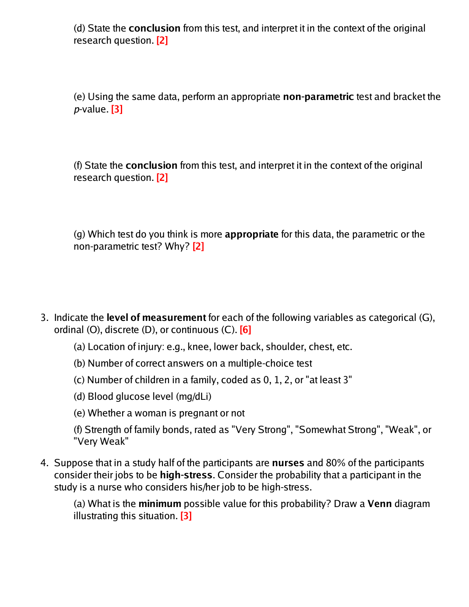(d) State the **conclusion** from this test, and interpret it in the context of the original research question. **[2]**

(e) Using the same data, perform an appropriate **non-parametric** test and bracket the p-value. **[3]**

(f) State the **conclusion** from this test, and interpret it in the context of the original research question. **[2]**

(g) Which test do you think is more **appropriate** for this data, the parametric or the non-parametric test? Why? **[2]**

- 3. Indicate the **level of measurement** for each of the following variables as categorical (G), ordinal (O), discrete (D), or continuous (C). **[6]**
	- (a) Location of injury: e.g., knee, lower back, shoulder, chest, etc.
	- (b) Number of correct answers on a multiple-choice test
	- (c) Number of children in a family, coded as 0, 1, 2, or "at least 3"
	- (d) Blood glucose level (mg/dLi)
	- (e) Whether a woman is pregnant or not
	- (f) Strength of family bonds, rated as "Very Strong", "Somewhat Strong", "Weak", or "Very Weak"
- 4. Suppose that in a study half of the participants are **nurses** and 80% of the participants consider their jobs to be **high-stress**. Consider the probability that a participant in the study is a nurse who considers his/her job to be high-stress.

(a) What is the **minimum** possible value for this probability? Draw a **Venn** diagram illustrating this situation. **[3]**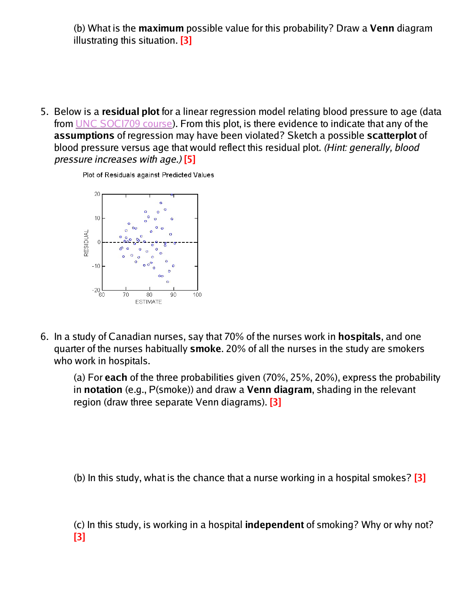(b) What is the **maximum** possible value for this probability? Draw a **Venn** diagram illustrating this situation. **[3]**

5. Below is a **residual plot** for a linear regression model relating blood pressure to age (data from UNC SOCI709 course). From this plot, is there evidence to indicate that any of the **assumptions** of regression may have been violated? Sketch a possible **scatterplot** of blood pressure versus age that would reflect this residual plot. (Hint: generally, blood pressure increases with age.) **[5]**

Plot of Residuals against Predicted Values



6. In a study of Canadian nurses, say that 70% of the nurses work in **hospitals**, and one quarter of the nurses habitually **smoke**. 20% of all the nurses in the study are smokers who work in hospitals.

(a) For **each** of the three probabilities given (70%, 25%, 20%), express the probability in **notation** (e.g., P(smoke)) and draw a **Venn diagram**, shading in the relevant region (draw three separate Venn diagrams). **[3]**

(b) In this study, what is the chance that a nurse working in a hospital smokes? **[3]**

(c) In this study, is working in a hospital **independent** of smoking? Why or why not? **[3]**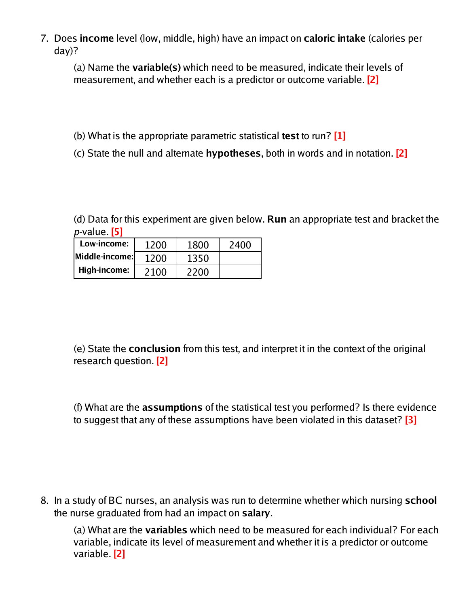7. Does **income** level (low, middle, high) have an impact on **caloric intake** (calories per day)?

(a) Name the **variable(s)** which need to be measured, indicate their levels of measurement, and whether each is a predictor or outcome variable. **[2]**

- (b) What is the appropriate parametric statistical **test** to run? **[1]**
- (c) State the null and alternate **hypotheses**, both in words and in notation. **[2]**

(d) Data for this experiment are given below. **Run** an appropriate test and bracket the p-value. **[5]**

| Low-income:    | 1200 | 1800 | 2400 |
|----------------|------|------|------|
| Middle-income: | 1200 | 1350 |      |
| High-income:   | 2100 | 2200 |      |

(e) State the **conclusion** from this test, and interpret it in the context of the original research question. **[2]**

(f) What are the **assumptions** of the statistical test you performed? Is there evidence to suggest that any of these assumptions have been violated in this dataset? **[3]**

8. In a study of BC nurses, an analysis was run to determine whether which nursing **school** the nurse graduated from had an impact on **salary**.

(a) What are the **variables** which need to be measured for each individual? For each variable, indicate its level of measurement and whether it is a predictor or outcome variable. **[2]**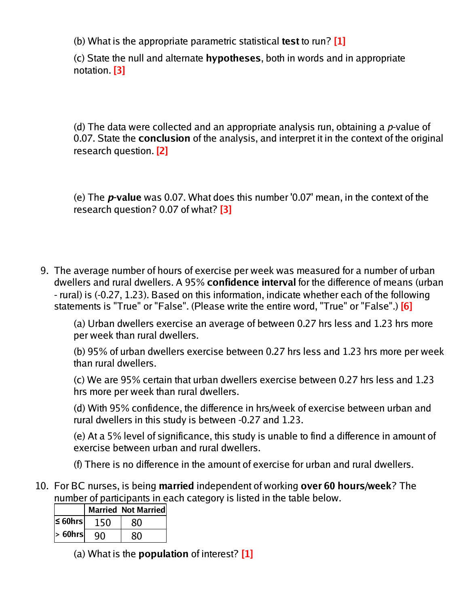(b) What is the appropriate parametric statistical **test** to run? **[1]**

(c) State the null and alternate **hypotheses**, both in words and in appropriate notation. **[3]**

(d) The data were collected and an appropriate analysis run, obtaining a  $p$ -value of 0.07. State the **conclusion** of the analysis, and interpret it in the context of the original research question. **[2]**

(e) The **p-value** was 0.07. What does this number '0.07' mean, in the context of the research question? 0.07 of what? **[3]**

9. The average number of hours of exercise per week was measured for a number of urban dwellers and rural dwellers. A 95% **confidence interval** for the difference of means (urban - rural) is (-0.27, 1.23). Based on this information, indicate whether each of the following statements is "True" or "False". (Please write the entire word, "True" or "False".) **[6]**

(a) Urban dwellers exercise an average of between 0.27 hrs less and 1.23 hrs more per week than rural dwellers.

(b) 95% of urban dwellers exercise between 0.27 hrs less and 1.23 hrs more per week than rural dwellers.

(c) We are 95% certain that urban dwellers exercise between 0.27 hrs less and 1.23 hrs more per week than rural dwellers.

(d) With 95% confidence, the difference in hrs/week of exercise between urban and rural dwellers in this study is between -0.27 and 1.23.

(e) At a 5% level of significance, this study is unable to find a difference in amount of exercise between urban and rural dwellers.

(f) There is no difference in the amount of exercise for urban and rural dwellers.

10. For BC nurses, is being **married** independent of working **over 60 hours/week**? The number of participants in each category is listed in the table below.

|               | <b>Married Not Married</b> |
|---------------|----------------------------|
| $\leq 60$ hrs | 80                         |
| $> 60$ hrs    | מא                         |

(a) What is the **population** of interest? **[1]**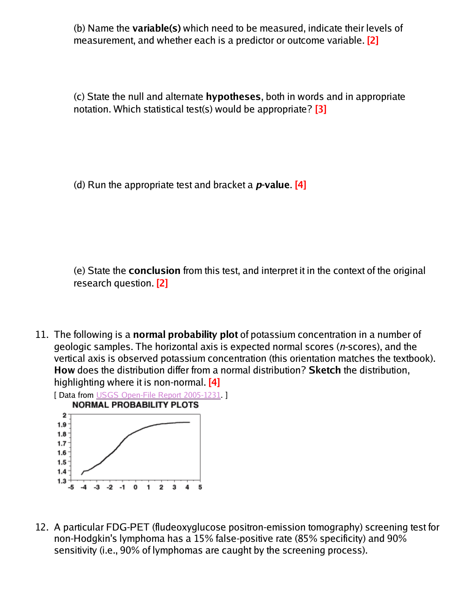(b) Name the **variable(s)** which need to be measured, indicate their levels of measurement, and whether each is a predictor or outcome variable. **[2]**

(c) State the null and alternate **hypotheses**, both in words and in appropriate notation. Which statistical test(s) would be appropriate? **[3]**

(d) Run the appropriate test and bracket a **p-value**. **[4]**

(e) State the **conclusion** from this test, and interpret it in the context of the original research question. **[2]**

11. The following is a **normal probability plot** of potassium concentration in a number of geologic samples. The horizontal axis is expected normal scores (n-scores), and the vertical axis is observed potassium concentration (this orientation matches the textbook). **How** does the distribution differ from a normal distribution? **Sketch** the distribution, highlighting where it is non-normal. **[4]**



12. A particular FDG-PET (fludeoxyglucose positron-emission tomography) screening test for non-Hodgkin's lymphoma has a 15% false-positive rate (85% specificity) and 90% sensitivity (i.e., 90% of lymphomas are caught by the screening process).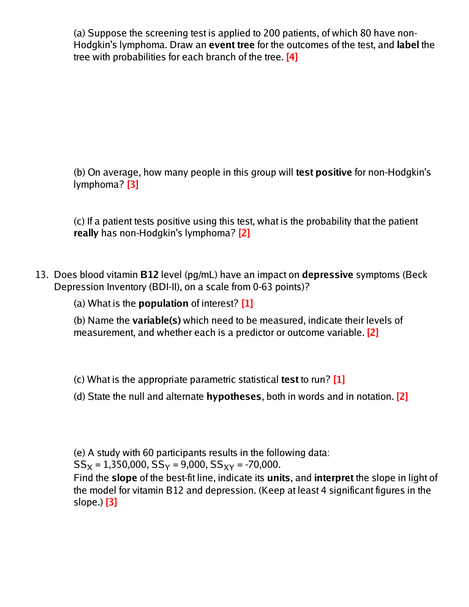(a) Suppose the screening test is applied to 200 patients, of which 80 have non-Hodgkin's lymphoma. Draw an **event tree** for the outcomes of the test, and **label** the tree with probabilities for each branch of the tree. **[4]**

(b) On average, how many people in this group will **test positive** for non-Hodgkin's lymphoma? **[3]**

(c) If a patient tests positive using this test, what is the probability that the patient **really** has non-Hodgkin's lymphoma? **[2]**

13. Does blood vitamin **B12** level (pg/mL) have an impact on **depressive** symptoms (Beck Depression Inventory (BDI-II), on a scale from 0-63 points)?

(a) What is the **population** of interest? **[1]**

(b) Name the **variable(s)** which need to be measured, indicate their levels of measurement, and whether each is a predictor or outcome variable. **[2]**

(c) What is the appropriate parametric statistical **test** to run? **[1]**

(d) State the null and alternate **hypotheses**, both in words and in notation. **[2]**

(e) A study with 60 participants results in the following data:

 $SS_X = 1,350,000, SS_Y = 9,000, SS_{XY} = -70,000.$ 

Find the **slope** of the best-fit line, indicate its **units**, and **interpret** the slope in light of the model for vitamin B12 and depression. (Keep at least 4 significant figures in the slope.) **[3]**